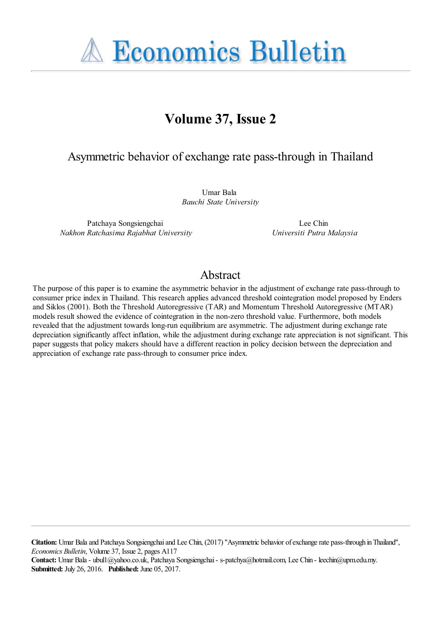**A Economics Bulletin** 

# **Volume 37, Issue 2**

# Asymmetric behavior of exchange rate pass-through in Thailand

Umar Bala *Bauchi State University*

Patchaya Songsiengchai *Nakhon Ratchasima Rajabhat University*

Lee Chin *Universiti Putra Malaysia*

## Abstract

The purpose of this paper is to examine the asymmetric behavior in the adjustment of exchange rate pass-through to consumer price index in Thailand. This research applies advanced threshold cointegration model proposed by Enders and Siklos (2001). Both the Threshold Autoregressive (TAR) and Momentum Threshold Autoregressive (MTAR) models result showed the evidence of cointegration in the non-zero threshold value. Furthermore, both models revealed that the adjustment towards long-run equilibrium are asymmetric. The adjustment during exchange rate depreciation significantly affect inflation, while the adjustment during exchange rate appreciation is not significant. This paper suggests that policy makers should have a different reaction in policy decision between the depreciation and appreciation of exchange rate pass-through to consumer price index.

**Citation:** Umar Bala and Patchaya Songsiengchai and Lee Chin, (2017) ''Asymmetric behavior of exchange rate pass-through in Thailand'', *Economics Bulletin*, Volume 37, Issue 2, pages A117

Contact: Umar Bala - ubul1@yahoo.co.uk, Patchaya Songsiengchai - s-patchya@hotmail.com, Lee Chin - leechin@upm.edu.my. **Submitted:** July 26, 2016. **Published:** June 05, 2017.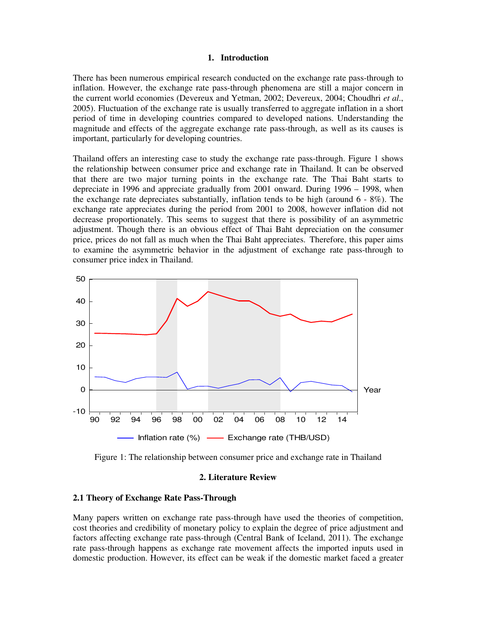#### **1. Introduction**

There has been numerous empirical research conducted on the exchange rate pass-through to inflation. However, the exchange rate pass-through phenomena are still a major concern in the current world economies (Devereux and Yetman, 2002; Devereux, 2004; Choudhri *et al*., 2005). Fluctuation of the exchange rate is usually transferred to aggregate inflation in a short period of time in developing countries compared to developed nations. Understanding the magnitude and effects of the aggregate exchange rate pass-through, as well as its causes is important, particularly for developing countries.

Thailand offers an interesting case to study the exchange rate pass-through. Figure 1 shows the relationship between consumer price and exchange rate in Thailand. It can be observed that there are two major turning points in the exchange rate. The Thai Baht starts to depreciate in 1996 and appreciate gradually from 2001 onward. During 1996 – 1998, when the exchange rate depreciates substantially, inflation tends to be high (around 6 - 8%). The exchange rate appreciates during the period from 2001 to 2008, however inflation did not decrease proportionately. This seems to suggest that there is possibility of an asymmetric adjustment. Though there is an obvious effect of Thai Baht depreciation on the consumer price, prices do not fall as much when the Thai Baht appreciates. Therefore, this paper aims to examine the asymmetric behavior in the adjustment of exchange rate pass-through to consumer price index in Thailand.



Figure 1: The relationship between consumer price and exchange rate in Thailand

#### **2. Literature Review**

#### **2.1 Theory of Exchange Rate Pass-Through**

Many papers written on exchange rate pass-through have used the theories of competition, cost theories and credibility of monetary policy to explain the degree of price adjustment and factors affecting exchange rate pass-through (Central Bank of Iceland, 2011). The exchange rate pass-through happens as exchange rate movement affects the imported inputs used in domestic production. However, its effect can be weak if the domestic market faced a greater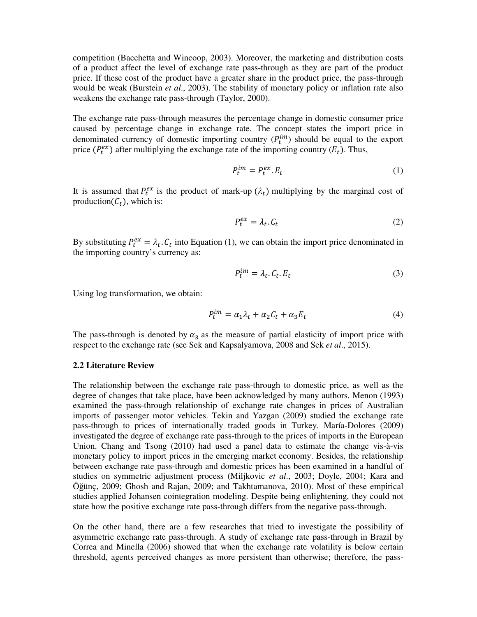competition (Bacchetta and Wincoop, 2003). Moreover, the marketing and distribution costs of a product affect the level of exchange rate pass-through as they are part of the product price. If these cost of the product have a greater share in the product price, the pass-through would be weak (Burstein *et al*., 2003). The stability of monetary policy or inflation rate also weakens the exchange rate pass-through (Taylor, 2000).

The exchange rate pass-through measures the percentage change in domestic consumer price caused by percentage change in exchange rate. The concept states the import price in denominated currency of domestic importing country  $(P_t^{im})$  should be equal to the export price  $(P_t^{ex})$  after multiplying the exchange rate of the importing country  $(E_t)$ . Thus,

$$
P_t^{im} = P_t^{ex} \cdot E_t \tag{1}
$$

It is assumed that  $P_t^{ex}$  is the product of mark-up  $(\lambda_t)$  multiplying by the marginal cost of production( $C_t$ ), which is:

$$
P_t^{ex} = \lambda_t. C_t \tag{2}
$$

By substituting  $P_t^{ex} = \lambda_t$ .  $C_t$  into Equation (1), we can obtain the import price denominated in the importing country's currency as:

$$
P_t^{im} = \lambda_t . C_t . E_t \tag{3}
$$

Using log transformation, we obtain:

$$
P_t^{im} = \alpha_1 \lambda_t + \alpha_2 C_t + \alpha_3 E_t \tag{4}
$$

The pass-through is denoted by  $\alpha_3$  as the measure of partial elasticity of import price with respect to the exchange rate (see Sek and Kapsalyamova, 2008 and Sek *et al*., 2015).

#### **2.2 Literature Review**

The relationship between the exchange rate pass-through to domestic price, as well as the degree of changes that take place, have been acknowledged by many authors. Menon (1993) examined the pass-through relationship of exchange rate changes in prices of Australian imports of passenger motor vehicles. Tekin and Yazgan (2009) studied the exchange rate pass-through to prices of internationally traded goods in Turkey. María-Dolores (2009) investigated the degree of exchange rate pass-through to the prices of imports in the European Union. Chang and Tsong (2010) had used a panel data to estimate the change vis-à-vis monetary policy to import prices in the emerging market economy. Besides, the relationship between exchange rate pass-through and domestic prices has been examined in a handful of studies on symmetric adjustment process (Miljkovic *et al*., 2003; Doyle, 2004; Kara and Öğünç, 2009; Ghosh and Rajan, 2009; and Takhtamanova, 2010). Most of these empirical studies applied Johansen cointegration modeling. Despite being enlightening, they could not state how the positive exchange rate pass-through differs from the negative pass-through.

On the other hand, there are a few researches that tried to investigate the possibility of asymmetric exchange rate pass-through. A study of exchange rate pass-through in Brazil by Correa and Minella (2006) showed that when the exchange rate volatility is below certain threshold, agents perceived changes as more persistent than otherwise; therefore, the pass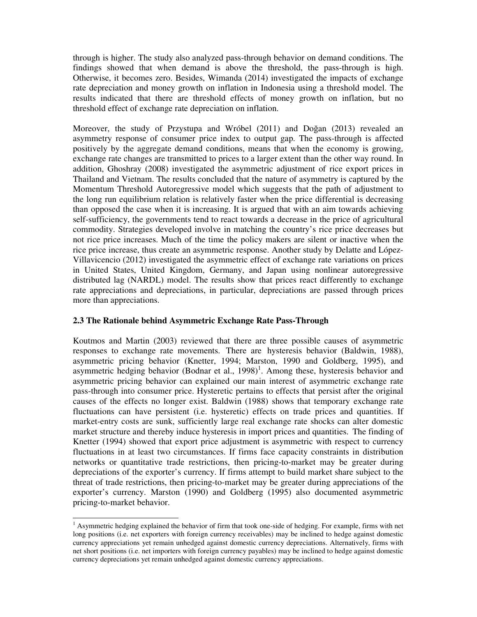through is higher. The study also analyzed pass-through behavior on demand conditions. The findings showed that when demand is above the threshold, the pass-through is high. Otherwise, it becomes zero. Besides, Wimanda (2014) investigated the impacts of exchange rate depreciation and money growth on inflation in Indonesia using a threshold model. The results indicated that there are threshold effects of money growth on inflation, but no threshold effect of exchange rate depreciation on inflation.

Moreover, the study of Przystupa and Wróbel (2011) and Doğan (2013) revealed an asymmetry response of consumer price index to output gap. The pass-through is affected positively by the aggregate demand conditions, means that when the economy is growing, exchange rate changes are transmitted to prices to a larger extent than the other way round. In addition, Ghoshray (2008) investigated the asymmetric adjustment of rice export prices in Thailand and Vietnam. The results concluded that the nature of asymmetry is captured by the Momentum Threshold Autoregressive model which suggests that the path of adjustment to the long run equilibrium relation is relatively faster when the price differential is decreasing than opposed the case when it is increasing. It is argued that with an aim towards achieving self-sufficiency, the governments tend to react towards a decrease in the price of agricultural commodity. Strategies developed involve in matching the country's rice price decreases but not rice price increases. Much of the time the policy makers are silent or inactive when the rice price increase, thus create an asymmetric response. Another study by Delatte and López-Villavicencio (2012) investigated the asymmetric effect of exchange rate variations on prices in United States, United Kingdom, Germany, and Japan using nonlinear autoregressive distributed lag (NARDL) model. The results show that prices react differently to exchange rate appreciations and depreciations, in particular, depreciations are passed through prices more than appreciations.

### **2.3 The Rationale behind Asymmetric Exchange Rate Pass-Through**

<u>.</u>

Koutmos and Martin (2003) reviewed that there are three possible causes of asymmetric responses to exchange rate movements. There are hysteresis behavior (Baldwin, 1988), asymmetric pricing behavior (Knetter, 1994; Marston, 1990 and Goldberg, 1995), and asymmetric hedging behavior (Bodnar et al.,  $1998$ )<sup>1</sup>. Among these, hysteresis behavior and asymmetric pricing behavior can explained our main interest of asymmetric exchange rate pass-through into consumer price. Hysteretic pertains to effects that persist after the original causes of the effects no longer exist. Baldwin (1988) shows that temporary exchange rate fluctuations can have persistent (i.e. hysteretic) effects on trade prices and quantities. If market-entry costs are sunk, sufficiently large real exchange rate shocks can alter domestic market structure and thereby induce hysteresis in import prices and quantities. The finding of Knetter (1994) showed that export price adjustment is asymmetric with respect to currency fluctuations in at least two circumstances. If firms face capacity constraints in distribution networks or quantitative trade restrictions, then pricing-to-market may be greater during depreciations of the exporter's currency. If firms attempt to build market share subject to the threat of trade restrictions, then pricing-to-market may be greater during appreciations of the exporter's currency. Marston (1990) and Goldberg (1995) also documented asymmetric pricing-to-market behavior.

<sup>&</sup>lt;sup>1</sup> Asymmetric hedging explained the behavior of firm that took one-side of hedging. For example, firms with net long positions (i.e. net exporters with foreign currency receivables) may be inclined to hedge against domestic currency appreciations yet remain unhedged against domestic currency depreciations. Alternatively, firms with net short positions (i.e. net importers with foreign currency payables) may be inclined to hedge against domestic currency depreciations yet remain unhedged against domestic currency appreciations.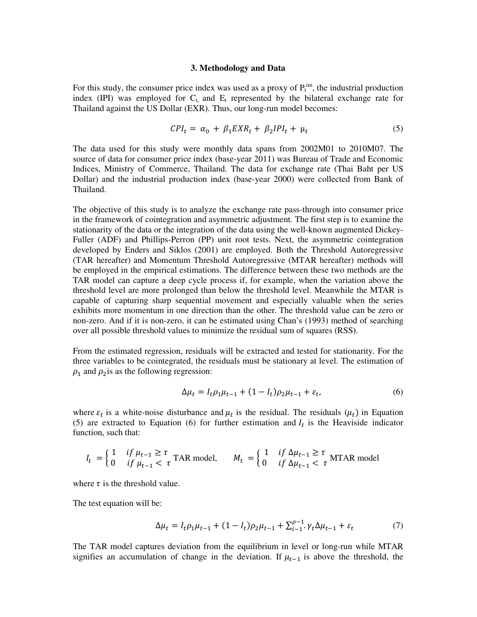#### **3. Methodology and Data**

For this study, the consumer price index was used as a proxy of  $P_t^{im}$ , the industrial production index (IPI) was employed for  $C_t$ , and  $E_t$  represented by the bilateral exchange rate for Thailand against the US Dollar (EXR). Thus, our long-run model becomes:

$$
CPI_t = \alpha_0 + \beta_1 EXR_t + \beta_2 IPI_t + \mu_t \tag{5}
$$

The data used for this study were monthly data spans from 2002M01 to 2010M07. The source of data for consumer price index (base-year 2011) was Bureau of Trade and Economic Indices, Ministry of Commerce, Thailand. The data for exchange rate (Thai Baht per US Dollar) and the industrial production index (base-year 2000) were collected from Bank of Thailand.

The objective of this study is to analyze the exchange rate pass-through into consumer price in the framework of cointegration and asymmetric adjustment. The first step is to examine the stationarity of the data or the integration of the data using the well-known augmented Dickey-Fuller (ADF) and Phillips-Perron (PP) unit root tests. Next, the asymmetric cointegration developed by Enders and Siklos (2001) are employed. Both the Threshold Autoregressive (TAR hereafter) and Momentum Threshold Autoregressive (MTAR hereafter) methods will be employed in the empirical estimations. The difference between these two methods are the TAR model can capture a deep cycle process if, for example, when the variation above the threshold level are more prolonged than below the threshold level. Meanwhile the MTAR is capable of capturing sharp sequential movement and especially valuable when the series exhibits more momentum in one direction than the other. The threshold value can be zero or non-zero. And if it is non-zero, it can be estimated using Chan's (1993) method of searching over all possible threshold values to minimize the residual sum of squares (RSS).

From the estimated regression, residuals will be extracted and tested for stationarity. For the three variables to be cointegrated, the residuals must be stationary at level. The estimation of  $\rho_1$  and  $\rho_2$  is as the following regression:

$$
\Delta \mu_t = I_t \rho_1 \mu_{t-1} + (1 - I_t) \rho_2 \mu_{t-1} + \varepsilon_t, \tag{6}
$$

where  $\varepsilon_t$  is a white-noise disturbance and  $\mu_t$  is the residual. The residuals  $(\mu_t)$  in Equation (5) are extracted to Equation (6) for further estimation and  $I_t$  is the Heaviside indicator function, such that:

$$
I_t = \begin{cases} 1 & \text{if } \mu_{t-1} \ge \tau \\ 0 & \text{if } \mu_{t-1} < \tau \end{cases}
$$
 TAR model, 
$$
M_t = \begin{cases} 1 & \text{if } \Delta \mu_{t-1} \ge \tau \\ 0 & \text{if } \Delta \mu_{t-1} < \tau \end{cases}
$$
 MTAR model

where  $\tau$  is the threshold value.

The test equation will be:

$$
\Delta \mu_t = I_t \rho_1 \mu_{t-1} + (1 - I_t) \rho_2 \mu_{t-1} + \sum_{i=1}^{\rho - 1} \gamma_t \Delta \mu_{t-1} + \varepsilon_t \tag{7}
$$

The TAR model captures deviation from the equilibrium in level or long-run while MTAR signifies an accumulation of change in the deviation. If  $\mu_{t-1}$  is above the threshold, the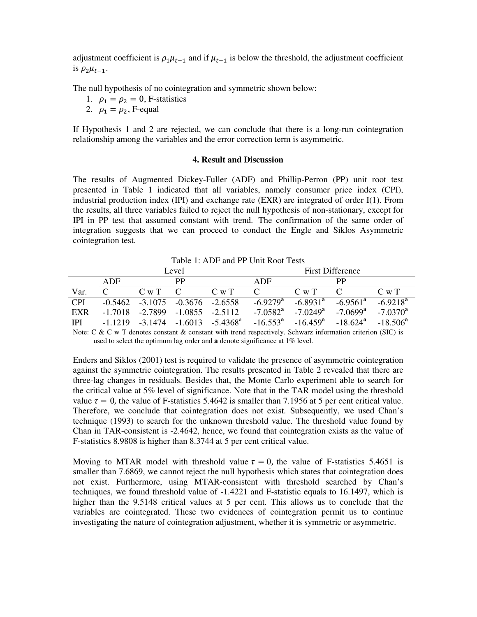adjustment coefficient is  $\rho_1 \mu_{t-1}$  and if  $\mu_{t-1}$  is below the threshold, the adjustment coefficient is  $\rho_2 \mu_{t-1}$ .

The null hypothesis of no cointegration and symmetric shown below:

- 1.  $\rho_1 = \rho_2 = 0$ , F-statistics
- 2.  $\rho_1 = \rho_2$ , F-equal

If Hypothesis 1 and 2 are rejected, we can conclude that there is a long-run cointegration relationship among the variables and the error correction term is asymmetric.

#### **4. Result and Discussion**

The results of Augmented Dickey-Fuller (ADF) and Phillip-Perron (PP) unit root test presented in Table 1 indicated that all variables, namely consumer price index (CPI), industrial production index (IPI) and exchange rate (EXR) are integrated of order I(1). From the results, all three variables failed to reject the null hypothesis of non-stationary, except for IPI in PP test that assumed constant with trend. The confirmation of the same order of integration suggests that we can proceed to conduct the Engle and Siklos Asymmetric cointegration test.

Table 1: ADF and PP Unit Root Tests

|            | Level      |           |           |                        | <b>First Difference</b> |                        |                        |                   |
|------------|------------|-----------|-----------|------------------------|-------------------------|------------------------|------------------------|-------------------|
|            | ADF        |           | PP        |                        | ADF                     |                        | PP                     |                   |
| Var.       |            | C w T     |           | C w T                  |                         | C w T                  |                        | C w T             |
| <b>CPI</b> | $-0.5462$  | $-3.1075$ | -0.3676   | $-2.6558$              | $-69279$ <sup>a</sup>   | $-6.8931$ <sup>a</sup> | $-6.9561$ <sup>a</sup> | $-69218^a$        |
| EXR        | $-1.7018$  | -2.7899   | $-1.0855$ | $-2.5112$              | $-7.0582$ <sup>a</sup>  | $-7.0249$ <sup>a</sup> | $-7.0699$ <sup>a</sup> | $-7.0370^{\rm a}$ |
| <b>IPI</b> | -1 1 2 1 9 | $-3.1474$ | $-1.6013$ | $-5.4368$ <sup>a</sup> | $-16.553^{\rm a}$       | $-16.459^{\rm a}$      | $-18.624$ <sup>a</sup> | $-18,506a$        |

Note: C & C w T denotes constant & constant with trend respectively. Schwarz information criterion (SIC) is used to select the optimum lag order and **a** denote significance at 1% level.

Enders and Siklos (2001) test is required to validate the presence of asymmetric cointegration against the symmetric cointegration. The results presented in Table 2 revealed that there are three-lag changes in residuals. Besides that, the Monte Carlo experiment able to search for the critical value at 5% level of significance. Note that in the TAR model using the threshold value  $\tau = 0$ , the value of F-statistics 5.4642 is smaller than 7.1956 at 5 per cent critical value. Therefore, we conclude that cointegration does not exist. Subsequently, we used Chan's technique (1993) to search for the unknown threshold value. The threshold value found by Chan in TAR-consistent is -2.4642, hence, we found that cointegration exists as the value of F-statistics 8.9808 is higher than 8.3744 at 5 per cent critical value.

Moving to MTAR model with threshold value  $\tau = 0$ , the value of F-statistics 5.4651 is smaller than 7.6869, we cannot reject the null hypothesis which states that cointegration does not exist. Furthermore, using MTAR-consistent with threshold searched by Chan's techniques, we found threshold value of -1.4221 and F-statistic equals to 16.1497, which is higher than the 9.5148 critical values at 5 per cent. This allows us to conclude that the variables are cointegrated. These two evidences of cointegration permit us to continue investigating the nature of cointegration adjustment, whether it is symmetric or asymmetric.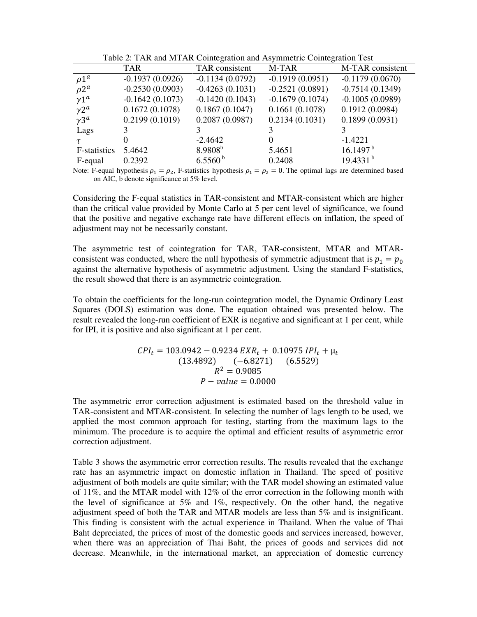| Table 2. TAK and MTAK Connegration and Asymmetric Connegration Test |                   |                     |                   |                      |  |
|---------------------------------------------------------------------|-------------------|---------------------|-------------------|----------------------|--|
|                                                                     | <b>TAR</b>        | TAR consistent      | M-TAR             | M-TAR consistent     |  |
| $\rho1^a$                                                           | $-0.1937(0.0926)$ | $-0.1134(0.0792)$   | $-0.1919(0.0951)$ | $-0.1179(0.0670)$    |  |
| $\rho 2^a$                                                          | $-0.2530(0.0903)$ | $-0.4263(0.1031)$   | $-0.2521(0.0891)$ | $-0.7514(0.1349)$    |  |
| $\gamma 1^a$                                                        | $-0.1642(0.1073)$ | $-0.1420(0.1043)$   | $-0.1679(0.1074)$ | $-0.1005(0.0989)$    |  |
| $\gamma 2^a$                                                        | 0.1672(0.1078)    | 0.1867(0.1047)      | 0.1661(0.1078)    | 0.1912(0.0984)       |  |
| $\gamma$ 3 <sup><i>a</i></sup>                                      | 0.2199(0.1019)    | 0.2087(0.0987)      | 0.2134(0.1031)    | 0.1899(0.0931)       |  |
| Lags                                                                |                   |                     |                   |                      |  |
| τ                                                                   |                   | $-2.4642$           | $\theta$          | $-1.4221$            |  |
| F-statistics                                                        | 5.4642            | 8.9808 <sup>b</sup> | 5.4651            | 16.1497 <sup>b</sup> |  |
| F-equal                                                             | 0.2392            | $6.5560^{b}$        | 0.2408            | $19.4331^{b}$        |  |

Table 2: TAR and MTAR Cointegration and Asymmetric Cointegration Test

Note: F-equal hypothesis  $\rho_1 = \rho_2$ , F-statistics hypothesis  $\rho_1 = \rho_2 = 0$ . The optimal lags are determined based on AIC, b denote significance at 5% level.

Considering the F-equal statistics in TAR-consistent and MTAR-consistent which are higher than the critical value provided by Monte Carlo at 5 per cent level of significance, we found that the positive and negative exchange rate have different effects on inflation, the speed of adjustment may not be necessarily constant.

The asymmetric test of cointegration for TAR, TAR-consistent, MTAR and MTARconsistent was conducted, where the null hypothesis of symmetric adjustment that is  $p_1 = p_0$ against the alternative hypothesis of asymmetric adjustment. Using the standard F-statistics, the result showed that there is an asymmetric cointegration.

To obtain the coefficients for the long-run cointegration model, the Dynamic Ordinary Least Squares (DOLS) estimation was done. The equation obtained was presented below. The result revealed the long-run coefficient of EXR is negative and significant at 1 per cent, while for IPI, it is positive and also significant at 1 per cent.

$$
CPI_t = 103.0942 - 0.9234 \, EXR_t + 0.10975 \, IPI_t + \mu_t
$$
  
(13.4892) (-6.8271) (6.5529)  

$$
R^2 = 0.9085
$$
  

$$
P - value = 0.0000
$$

The asymmetric error correction adjustment is estimated based on the threshold value in TAR-consistent and MTAR-consistent. In selecting the number of lags length to be used, we applied the most common approach for testing, starting from the maximum lags to the minimum. The procedure is to acquire the optimal and efficient results of asymmetric error correction adjustment.

Table 3 shows the asymmetric error correction results. The results revealed that the exchange rate has an asymmetric impact on domestic inflation in Thailand. The speed of positive adjustment of both models are quite similar; with the TAR model showing an estimated value of 11%, and the MTAR model with 12% of the error correction in the following month with the level of significance at 5% and 1%, respectively. On the other hand, the negative adjustment speed of both the TAR and MTAR models are less than 5% and is insignificant. This finding is consistent with the actual experience in Thailand. When the value of Thai Baht depreciated, the prices of most of the domestic goods and services increased, however, when there was an appreciation of Thai Baht, the prices of goods and services did not decrease. Meanwhile, in the international market, an appreciation of domestic currency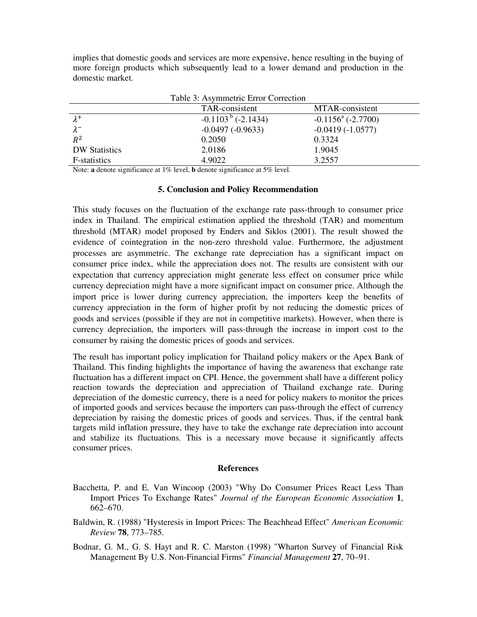implies that domestic goods and services are more expensive, hence resulting in the buying of more foreign products which subsequently lead to a lower demand and production in the domestic market.

| Table 5. Asymmetric Error Correction |                             |                                 |  |  |
|--------------------------------------|-----------------------------|---------------------------------|--|--|
|                                      | TAR-consistent              | MTAR-consistent                 |  |  |
| $\lambda^+$                          | $-0.1103^{b}$ ( $-2.1434$ ) | $-0.1156^{\circ}$ ( $-2.7700$ ) |  |  |
| $\lambda^-$                          | $-0.0497(-0.9633)$          | $-0.0419(-1.0577)$              |  |  |
| $R^2$                                | 0.2050                      | 0.3324                          |  |  |
| <b>DW Statistics</b>                 | 2.0186                      | 1.9045                          |  |  |
| F-statistics                         | 4.9022                      | 3.2557                          |  |  |

|  | Table 3: Asymmetric Error Correction |  |  |
|--|--------------------------------------|--|--|
|--|--------------------------------------|--|--|

Note: **a** denote significance at 1% level, **b** denote significance at 5% level.

### **5. Conclusion and Policy Recommendation**

This study focuses on the fluctuation of the exchange rate pass-through to consumer price index in Thailand. The empirical estimation applied the threshold (TAR) and momentum threshold (MTAR) model proposed by Enders and Siklos (2001). The result showed the evidence of cointegration in the non-zero threshold value. Furthermore, the adjustment processes are asymmetric. The exchange rate depreciation has a significant impact on consumer price index, while the appreciation does not. The results are consistent with our expectation that currency appreciation might generate less effect on consumer price while currency depreciation might have a more significant impact on consumer price. Although the import price is lower during currency appreciation, the importers keep the benefits of currency appreciation in the form of higher profit by not reducing the domestic prices of goods and services (possible if they are not in competitive markets). However, when there is currency depreciation, the importers will pass-through the increase in import cost to the consumer by raising the domestic prices of goods and services.

The result has important policy implication for Thailand policy makers or the Apex Bank of Thailand. This finding highlights the importance of having the awareness that exchange rate fluctuation has a different impact on CPI. Hence, the government shall have a different policy reaction towards the depreciation and appreciation of Thailand exchange rate. During depreciation of the domestic currency, there is a need for policy makers to monitor the prices of imported goods and services because the importers can pass-through the effect of currency depreciation by raising the domestic prices of goods and services. Thus, if the central bank targets mild inflation pressure, they have to take the exchange rate depreciation into account and stabilize its fluctuations. This is a necessary move because it significantly affects consumer prices.

#### **References**

- Bacchetta, P. and E. Van Wincoop (2003) "Why Do Consumer Prices React Less Than Import Prices To Exchange Rates" *Journal of the European Economic Association* **1**, 662–670.
- Baldwin, R. (1988) "Hysteresis in Import Prices: The Beachhead Effect" *American Economic Review* **78**, 773–785.
- Bodnar, G. M., G. S. Hayt and R. C. Marston (1998) "Wharton Survey of Financial Risk Management By U.S. Non-Financial Firms" *Financial Management* **27**, 70–91.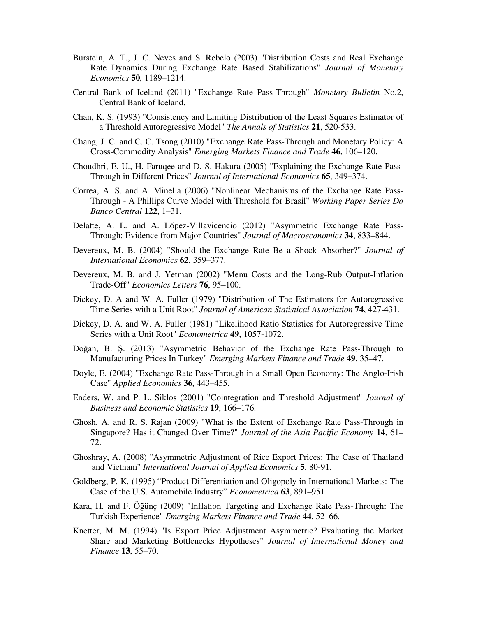- Burstein, A. T., J. C. Neves and S. Rebelo (2003) "Distribution Costs and Real Exchange Rate Dynamics During Exchange Rate Based Stabilizations" *Journal of Monetary Economics* **50***,* 1189–1214.
- Central Bank of Iceland (2011) "Exchange Rate Pass-Through" *Monetary Bulletin* No.2, Central Bank of Iceland.
- Chan, K. S. (1993) "Consistency and Limiting Distribution of the Least Squares Estimator of a Threshold Autoregressive Model" *The Annals of Statistics* **21**, 520-533.
- Chang, J. C. and C. C. Tsong (2010) "Exchange Rate Pass-Through and Monetary Policy: A Cross-Commodity Analysis" *Emerging Markets Finance and Trade* **46**, 106–120.
- Choudhri, E. U., H. Faruqee and D. S. Hakura (2005) "Explaining the Exchange Rate Pass-Through in Different Prices" *Journal of International Economics* **65**, 349–374.
- Correa, A. S. and A. Minella (2006) "Nonlinear Mechanisms of the Exchange Rate Pass-Through - A Phillips Curve Model with Threshold for Brasil" *Working Paper Series Do Banco Central* **122**, 1–31.
- Delatte, A. L. and A. López-Villavicencio (2012) "Asymmetric Exchange Rate Pass-Through: Evidence from Major Countries" *Journal of Macroeconomics* **34**, 833–844.
- Devereux, M. B. (2004) "Should the Exchange Rate Be a Shock Absorber?" *Journal of International Economics* **62**, 359–377.
- Devereux, M. B. and J. Yetman (2002) "Menu Costs and the Long-Rub Output-Inflation Trade-Off" *Economics Letters* **76**, 95–100.
- Dickey, D. A and W. A. Fuller (1979) "Distribution of The Estimators for Autoregressive Time Series with a Unit Root" *Journal of American Statistical Association* **74**, 427-431.
- Dickey, D. A. and W. A. Fuller (1981) "Likelihood Ratio Statistics for Autoregressive Time Series with a Unit Root" *Econometrica* **49**, 1057-1072.
- Doğan, B. Ş. (2013) "Asymmetric Behavior of the Exchange Rate Pass-Through to Manufacturing Prices In Turkey" *Emerging Markets Finance and Trade* **49**, 35–47.
- Doyle, E. (2004) "Exchange Rate Pass-Through in a Small Open Economy: The Anglo-Irish Case" *Applied Economics* **36**, 443–455.
- Enders, W. and P. L. Siklos (2001) "Cointegration and Threshold Adjustment" *Journal of Business and Economic Statistics* **19**, 166–176.
- Ghosh, A. and R. S. Rajan (2009) "What is the Extent of Exchange Rate Pass-Through in Singapore? Has it Changed Over Time?" *Journal of the Asia Pacific Economy* **14**, 61– 72.
- Ghoshray, A. (2008) "Asymmetric Adjustment of Rice Export Prices: The Case of Thailand and Vietnam" *International Journal of Applied Economics* **5**, 80-91.
- Goldberg, P. K. (1995) "Product Differentiation and Oligopoly in International Markets: The Case of the U.S. Automobile Industry" *Econometrica* **63**, 891–951.
- Kara, H. and F. Öğünç (2009) "Inflation Targeting and Exchange Rate Pass-Through: The Turkish Experience" *Emerging Markets Finance and Trade* **44**, 52–66.
- Knetter, M. M. (1994) "Is Export Price Adjustment Asymmetric? Evaluating the Market Share and Marketing Bottlenecks Hypotheses" *Journal of International Money and Finance* **13**, 55–70.